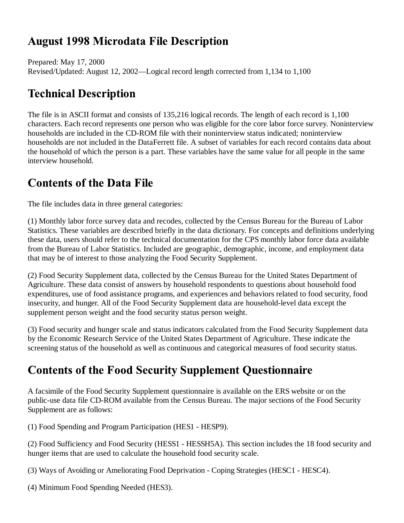## **August 1998 Microdata File Description**

Prepared: May 17, 2000 Revised/Updated: August 12, 2002—Logical record length corrected from 1,134 to 1,100

# **Technical Description**

The file is in ASCII format and consists of 135,216 logical records. The length of each record is 1,100 characters. Each record represents one person who was eligible for the core labor force survey. Noninterview households are included in the CD-ROM file with their noninterview status indicated; noninterview households are not included in the DataFerrett file. A subset of variables for each record contains data about the household of which the person is a part. These variables have the same value for all people in the same interview household.

# **Contents of the Data File**

The file includes data in three general categories:

(1) Monthly labor force survey data and recodes, collected by the Census Bureau for the Bureau of Labor Statistics. These variables are described briefly in the data dictionary. For concepts and definitions underlying these data, users should refer to the technical documentation for the CPS monthly labor force data available from the Bureau of Labor Statistics. Included are geographic, demographic, income, and employment data that may be of interest to those analyzing the Food Security Supplement.

(2) Food Security Supplement data, collected by the Census Bureau for the United States Department of Agriculture. These data consist of answers by household respondents to questions about household food expenditures, use of food assistance programs, and experiences and behaviors related to food security, food insecurity, and hunger. All of the Food Security Supplement data are household-level data except the supplement person weight and the food security status person weight.

(3) Food security and hunger scale and status indicators calculated from the Food Security Supplement data by the Economic Research Service of the United States Department of Agriculture. These indicate the screening status of the household as well as continuous and categorical measures of food security status.

# **Contents of the Food Security Supplement Questionnaire**

A facsimile of the Food Security Supplement questionnaire is available on the ERS website or on the public-use data file CD-ROM available from the Census Bureau. The major sections of the Food Security Supplement are as follows:

(1) Food Spending and Program Participation (HES1 - HESP9).

(2) Food Sufficiency and Food Security (HESS1 - HESSH5A). This section includes the 18 food security and hunger items that are used to calculate the household food security scale.

(3) Ways of Avoiding or Ameliorating Food Deprivation - Coping Strategies (HESC1 - HESC4).

(4) Minimum Food Spending Needed (HES3).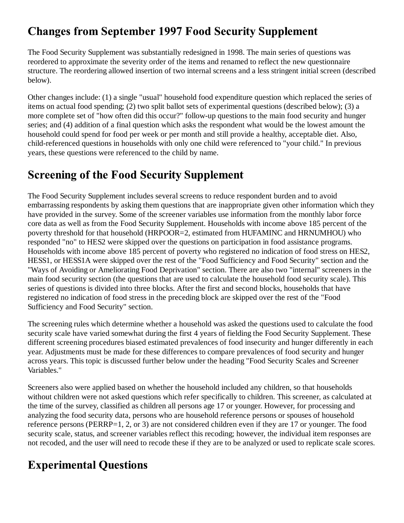## **Changes from September 1997 Food Security Supplement**

The Food Security Supplement was substantially redesigned in 1998. The main series of questions was reordered to approximate the severity order of the items and renamed to reflect the new questionnaire structure. The reordering allowed insertion of two internal screens and a less stringent initial screen (described below).

Other changes include: (1) a single "usual" household food expenditure question which replaced the series of items on actual food spending; (2) two split ballot sets of experimental questions (described below); (3) a more complete set of "how often did this occur?" follow-up questions to the main food security and hunger series; and (4) addition of a final question which asks the respondent what would be the lowest amount the household could spend for food per week or per month and still provide a healthy, acceptable diet. Also, child-referenced questions in households with only one child were referenced to "your child." In previous years, these questions were referenced to the child by name.

### **Screening of the Food Security Supplement**

The Food Security Supplement includes several screens to reduce respondent burden and to avoid embarrassing respondents by asking them questions that are inappropriate given other information which they have provided in the survey. Some of the screener variables use information from the monthly labor force core data as well as from the Food Security Supplement. Households with income above 185 percent of the poverty threshold for that household (HRPOOR=2, estimated from HUFAMINC and HRNUMHOU) who responded "no" to HES2 were skipped over the questions on participation in food assistance programs. Households with income above 185 percent of poverty who registered no indication of food stress on HES2, HESS1, or HESS1A were skipped over the rest of the "Food Sufficiency and Food Security" section and the "Ways of Avoiding or Ameliorating Food Deprivation" section. There are also two "internal" screeners in the main food security section (the questions that are used to calculate the household food security scale). This series of questions is divided into three blocks. After the first and second blocks, households that have registered no indication of food stress in the preceding block are skipped over the rest of the "Food Sufficiency and Food Security" section.

The screening rules which determine whether a household was asked the questions used to calculate the food security scale have varied somewhat during the first 4 years of fielding the Food Security Supplement. These different screening procedures biased estimated prevalences of food insecurity and hunger differently in each year. Adjustments must be made for these differences to compare prevalences of food security and hunger across years. This topic is discussed further below under the heading "Food Security Scales and Screener Variables."

Screeners also were applied based on whether the household included any children, so that households without children were not asked questions which refer specifically to children. This screener, as calculated at the time of the survey, classified as children all persons age 17 or younger. However, for processing and analyzing the food security data, persons who are household reference persons or spouses of household reference persons (PERRP=1, 2, or 3) are not considered children even if they are 17 or younger. The food security scale, status, and screener variables reflect this recoding; however, the individual item responses are not recoded, and the user will need to recode these if they are to be analyzed or used to replicate scale scores.

# **Experimental Questions**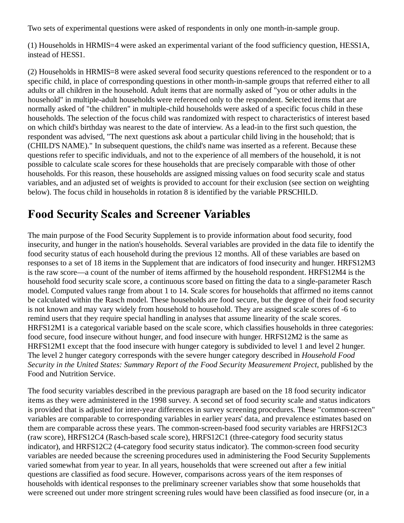Two sets of experimental questions were asked of respondents in only one month-in-sample group.

(1) Households in HRMIS=4 were asked an experimental variant of the food sufficiency question, HESS1A, instead of HESS1.

(2) Households in HRMIS=8 were asked several food security questions referenced to the respondent or to a specific child, in place of corresponding questions in other month-in-sample groups that referred either to all adults or all children in the household. Adult items that are normally asked of "you or other adults in the household" in multiple-adult households were referenced only to the respondent. Selected items that are normally asked of "the children" in multiple-child households were asked of a specific focus child in these households. The selection of the focus child was randomized with respect to characteristics of interest based on which child's birthday was nearest to the date of interview. As a lead-in to the first such question, the respondent was advised, "The next questions ask about a particular child living in the household; that is (CHILD'S NAME)." In subsequent questions, the child's name was inserted as a referent. Because these questions refer to specific individuals, and not to the experience of all members of the household, it is not possible to calculate scale scores for these households that are precisely comparable with those of other households. For this reason, these households are assigned missing values on food security scale and status variables, and an adjusted set of weights is provided to account for their exclusion (see section on weighting below). The focus child in households in rotation 8 is identified by the variable PRSCHILD.

#### **Food Security Scales and Screener Variables**

The main purpose of the Food Security Supplement is to provide information about food security, food insecurity, and hunger in the nation's households. Several variables are provided in the data file to identify the food security status of each household during the previous 12 months. All of these variables are based on responses to a set of 18 items in the Supplement that are indicators of food insecurity and hunger. HRFS12M3 is the raw score—a count of the number of items affirmed by the household respondent. HRFS12M4 is the household food security scale score, a continuous score based on fitting the data to a single-parameter Rasch model. Computed values range from about 1 to 14. Scale scores for households that affirmed no items cannot be calculated within the Rasch model. These households are food secure, but the degree of their food security is not known and may vary widely from household to household. They are assigned scale scores of -6 to remind users that they require special handling in analyses that assume linearity of the scale scores. HRFS12M1 is a categorical variable based on the scale score, which classifies households in three categories: food secure, food insecure without hunger, and food insecure with hunger. HRFS12M2 is the same as HRFS12M1 except that the food insecure with hunger category is subdivided to level 1 and level 2 hunger. The level 2 hunger category corresponds with the severe hunger category described in *Household Food Security in the United States: Summary Report of the Food Security Measurement Project*, published by the Food and Nutrition Service.

The food security variables described in the previous paragraph are based on the 18 food security indicator items as they were administered in the 1998 survey. A second set of food security scale and status indicators is provided that is adjusted for inter-year differences in survey screening procedures. These "common-screen" variables are comparable to corresponding variables in earlier years' data, and prevalence estimates based on them are comparable across these years. The common-screen-based food security variables are HRFS12C3 (raw score), HRFS12C4 (Rasch-based scale score), HRFS12C1 (three-category food security status indicator), and HRFS12C2 (4-category food security status indicator). The common-screen food security variables are needed because the screening procedures used in administering the Food Security Supplements varied somewhat from year to year. In all years, households that were screened out after a few initial questions are classified as food secure. However, comparisons across years of the item responses of households with identical responses to the preliminary screener variables show that some households that were screened out under more stringent screening rules would have been classified as food insecure (or, in a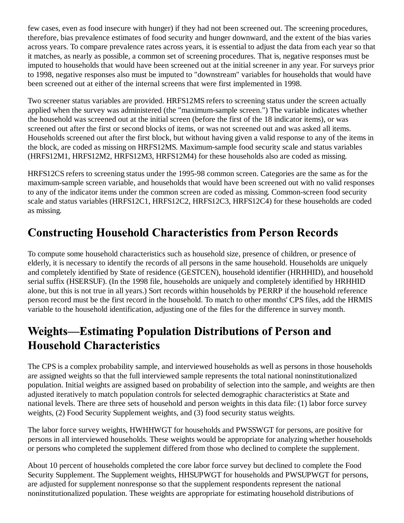few cases, even as food insecure with hunger) if they had not been screened out. The screening procedures, therefore, bias prevalence estimates of food security and hunger downward, and the extent of the bias varies across years. To compare prevalence rates across years, it is essential to adjust the data from each year so that it matches, as nearly as possible, a common set of screening procedures. That is, negative responses must be imputed to households that would have been screened out at the initial screener in any year. For surveys prior to 1998, negative responses also must be imputed to "downstream" variables for households that would have been screened out at either of the internal screens that were first implemented in 1998.

Two screener status variables are provided. HRFS12MS refers to screening status under the screen actually applied when the survey was administered (the "maximum-sample screen.") The variable indicates whether the household was screened out at the initial screen (before the first of the 18 indicator items), or was screened out after the first or second blocks of items, or was not screened out and was asked all items. Households screened out after the first block, but without having given a valid response to any of the items in the block, are coded as missing on HRFS12MS. Maximum-sample food security scale and status variables (HRFS12M1, HRFS12M2, HRFS12M3, HRFS12M4) for these households also are coded as missing.

HRFS12CS refers to screening status under the 1995-98 common screen. Categories are the same as for the maximum-sample screen variable, and households that would have been screened out with no valid responses to any of the indicator items under the common screen are coded as missing. Common-screen food security scale and status variables (HRFS12C1, HRFS12C2, HRFS12C3, HRFS12C4) for these households are coded as missing.

## **Constructing Household Characteristics from Person Records**

To compute some household characteristics such as household size, presence of children, or presence of elderly, it is necessary to identify the records of all persons in the same household. Households are uniquely and completely identified by State of residence (GESTCEN), household identifier (HRHHID), and household serial suffix (HSERSUF). (In the 1998 file, households are uniquely and completely identified by HRHHID alone, but this is not true in all years.) Sort records within households by PERRP if the household reference person record must be the first record in the household. To match to other months' CPS files, add the HRMIS variable to the household identification, adjusting one of the files for the difference in survey month.

### **Weights-Estimating Population Distributions of Person and Household Characteristics**

The CPS is a complex probability sample, and interviewed households as well as persons in those households are assigned weights so that the full interviewed sample represents the total national noninstitutionalized population. Initial weights are assigned based on probability of selection into the sample, and weights are then adjusted iteratively to match population controls for selected demographic characteristics at State and national levels. There are three sets of household and person weights in this data file: (1) labor force survey weights, (2) Food Security Supplement weights, and (3) food security status weights.

The labor force survey weights, HWHHWGT for households and PWSSWGT for persons, are positive for persons in all interviewed households. These weights would be appropriate for analyzing whether households or persons who completed the supplement differed from those who declined to complete the supplement.

About 10 percent of households completed the core labor force survey but declined to complete the Food Security Supplement. The Supplement weights, HHSUPWGT for households and PWSUPWGT for persons, are adjusted for supplement nonresponse so that the supplement respondents represent the national noninstitutionalized population. These weights are appropriate for estimating household distributions of